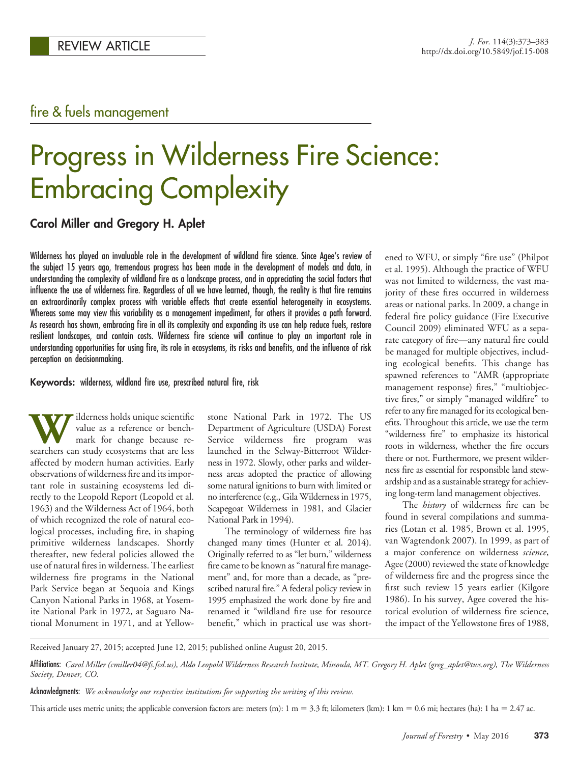## fire & fuels management

# Progress in Wilderness Fire Science: Embracing Complexity

## **Carol Miller and Gregory H. Aplet**

Wilderness has played an invaluable role in the development of wildland fire science. Since Agee's review of the subject 15 years ago, tremendous progress has been made in the development of models and data, in understanding the complexity of wildland fire as a landscape process, and in appreciating the social factors that influence the use of wilderness fire. Regardless of all we have learned, though, the reality is that fire remains an extraordinarily complex process with variable effects that create essential heterogeneity in ecosystems. Whereas some may view this variability as a management impediment, for others it provides a path forward. As research has shown, embracing fire in all its complexity and expanding its use can help reduce fuels, restore resilient landscapes, and contain costs. Wilderness fire science will continue to play an important role in understanding opportunities for using fire, its role in ecosystems, its risks and benefits, and the influence of risk perception on decisionmaking.

#### **Keywords:** wilderness, wildland fire use, prescribed natural fire, risk

Wilderness holds unique scientific<br>
value as a reference or bench-<br>
mark for change because re-<br>
searchers can study ecosystems that are less value as a reference or benchmark for change because reaffected by modern human activities. Early observations of wilderness fire and its important role in sustaining ecosystems led directly to the Leopold Report (Leopold et al. 1963) and the Wilderness Act of 1964, both of which recognized the role of natural ecological processes, including fire, in shaping primitive wilderness landscapes. Shortly thereafter, new federal policies allowed the use of natural fires in wilderness. The earliest wilderness fire programs in the National Park Service began at Sequoia and Kings Canyon National Parks in 1968, at Yosemite National Park in 1972, at Saguaro National Monument in 1971, and at Yellowstone National Park in 1972. The US Department of Agriculture (USDA) Forest Service wilderness fire program was launched in the Selway-Bitterroot Wilderness in 1972. Slowly, other parks and wilderness areas adopted the practice of allowing some natural ignitions to burn with limited or no interference (e.g., Gila Wilderness in 1975, Scapegoat Wilderness in 1981, and Glacier National Park in 1994).

The terminology of wilderness fire has changed many times (Hunter et al. 2014). Originally referred to as "let burn," wilderness fire came to be known as "natural fire management" and, for more than a decade, as "prescribed natural fire." A federal policy review in 1995 emphasized the work done by fire and renamed it "wildland fire use for resource benefit," which in practical use was short-

ened to WFU, or simply "fire use" (Philpot et al. 1995). Although the practice of WFU was not limited to wilderness, the vast majority of these fires occurred in wilderness areas or national parks. In 2009, a change in federal fire policy guidance (Fire Executive Council 2009) eliminated WFU as a separate category of fire—any natural fire could be managed for multiple objectives, including ecological benefits. This change has spawned references to "AMR (appropriate management response) fires," "multiobjective fires," or simply "managed wildfire" to refer to any fire managed for its ecological benefits. Throughout this article, we use the term "wilderness fire" to emphasize its historical roots in wilderness, whether the fire occurs there or not. Furthermore, we present wilderness fire as essential for responsible land stewardship and as a sustainable strategy for achieving long-term land management objectives.

The *history* of wilderness fire can be found in several compilations and summaries (Lotan et al. 1985, Brown et al. 1995, van Wagtendonk 2007). In 1999, as part of a major conference on wilderness *science*, Agee (2000) reviewed the state of knowledge of wilderness fire and the progress since the first such review 15 years earlier (Kilgore 1986). In his survey, Agee covered the historical evolution of wilderness fire science, the impact of the Yellowstone fires of 1988,

Received January 27, 2015; accepted June 12, 2015; published online August 20, 2015.

Affiliations: *Carol Miller (cmiller04@fs.fed.us), Aldo Leopold Wilderness Research Institute, Missoula, MT. Gregory H. Aplet (greg\_aplet@tws.org), The Wilderness Society, Denver, CO.*

Acknowledgments: *We acknowledge our respective institutions for supporting the writing of this review.*

This article uses metric units; the applicable conversion factors are: meters (m):  $1 m = 3.3$  ft; kilometers (km):  $1 km = 0.6$  mi; hectares (ha):  $1 ha = 2.47$  ac.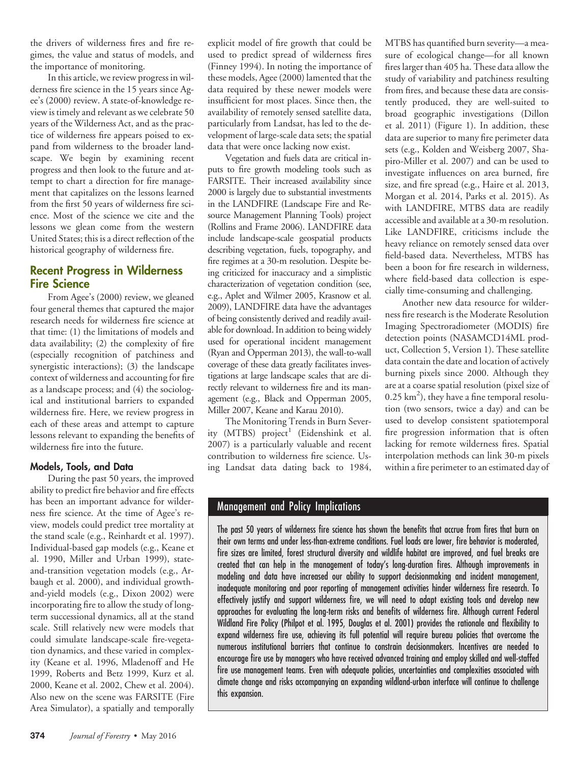the drivers of wilderness fires and fire regimes, the value and status of models, and the importance of monitoring.

In this article, we review progress in wilderness fire science in the 15 years since Agee's (2000) review. A state-of-knowledge review is timely and relevant as we celebrate 50 years of the Wilderness Act, and as the practice of wilderness fire appears poised to expand from wilderness to the broader landscape. We begin by examining recent progress and then look to the future and attempt to chart a direction for fire management that capitalizes on the lessons learned from the first 50 years of wilderness fire science. Most of the science we cite and the lessons we glean come from the western United States; this is a direct reflection of the historical geography of wilderness fire.

## **Recent Progress in Wilderness Fire Science**

From Agee's (2000) review, we gleaned four general themes that captured the major research needs for wilderness fire science at that time: (1) the limitations of models and data availability; (2) the complexity of fire (especially recognition of patchiness and synergistic interactions); (3) the landscape context of wilderness and accounting for fire as a landscape process; and (4) the sociological and institutional barriers to expanded wilderness fire. Here, we review progress in each of these areas and attempt to capture lessons relevant to expanding the benefits of wilderness fire into the future.

#### **Models, Tools, and Data**

During the past 50 years, the improved ability to predict fire behavior and fire effects has been an important advance for wilderness fire science. At the time of Agee's review, models could predict tree mortality at the stand scale (e.g., Reinhardt et al. 1997). Individual-based gap models (e.g., Keane et al. 1990, Miller and Urban 1999), stateand-transition vegetation models (e.g., Arbaugh et al. 2000), and individual growthand-yield models (e.g., Dixon 2002) were incorporating fire to allow the study of longterm successional dynamics, all at the stand scale. Still relatively new were models that could simulate landscape-scale fire-vegetation dynamics, and these varied in complexity (Keane et al. 1996, Mladenoff and He 1999, Roberts and Betz 1999, Kurz et al. 2000, Keane et al. 2002, Chew et al. 2004). Also new on the scene was FARSITE (Fire Area Simulator), a spatially and temporally

explicit model of fire growth that could be used to predict spread of wilderness fires (Finney 1994). In noting the importance of these models, Agee (2000) lamented that the data required by these newer models were insufficient for most places. Since then, the availability of remotely sensed satellite data, particularly from Landsat, has led to the development of large-scale data sets; the spatial data that were once lacking now exist.

Vegetation and fuels data are critical inputs to fire growth modeling tools such as FARSITE. Their increased availability since 2000 is largely due to substantial investments in the LANDFIRE (Landscape Fire and Resource Management Planning Tools) project (Rollins and Frame 2006). LANDFIRE data include landscape-scale geospatial products describing vegetation, fuels, topography, and fire regimes at a 30-m resolution. Despite being criticized for inaccuracy and a simplistic characterization of vegetation condition (see, e.g., Aplet and Wilmer 2005, Krasnow et al. 2009), LANDFIRE data have the advantages of being consistently derived and readily available for download. In addition to being widely used for operational incident management (Ryan and Opperman 2013), the wall-to-wall coverage of these data greatly facilitates investigations at large landscape scales that are directly relevant to wilderness fire and its management (e.g., Black and Opperman 2005, Miller 2007, Keane and Karau 2010).

The Monitoring Trends in Burn Severity (MTBS) project<sup>1</sup> (Eidenshink et al. 2007) is a particularly valuable and recent contribution to wilderness fire science. Using Landsat data dating back to 1984,

MTBS has quantified burn severity—a measure of ecological change—for all known fires larger than 405 ha. These data allow the study of variability and patchiness resulting from fires, and because these data are consistently produced, they are well-suited to broad geographic investigations (Dillon et al. 2011) (Figure 1). In addition, these data are superior to many fire perimeter data sets (e.g., Kolden and Weisberg 2007, Shapiro-Miller et al. 2007) and can be used to investigate influences on area burned, fire size, and fire spread (e.g., Haire et al. 2013, Morgan et al. 2014, Parks et al. 2015). As with LANDFIRE, MTBS data are readily accessible and available at a 30-m resolution. Like LANDFIRE, criticisms include the heavy reliance on remotely sensed data over field-based data. Nevertheless, MTBS has been a boon for fire research in wilderness, where field-based data collection is especially time-consuming and challenging.

Another new data resource for wilderness fire research is the Moderate Resolution Imaging Spectroradiometer (MODIS) fire detection points (NASAMCD14ML product, Collection 5, Version 1). These satellite data contain the date and location of actively burning pixels since 2000. Although they are at a coarse spatial resolution (pixel size of  $(0.25 \text{ km}^2)$ , they have a fine temporal resolution (two sensors, twice a day) and can be used to develop consistent spatiotemporal fire progression information that is often lacking for remote wilderness fires. Spatial interpolation methods can link 30-m pixels within a fire perimeter to an estimated day of

### Management and Policy Implications

The past 50 years of wilderness fire science has shown the benefits that accrue from fires that burn on their own terms and under less-than-extreme conditions. Fuel loads are lower, fire behavior is moderated, fire sizes are limited, forest structural diversity and wildlife habitat are improved, and fuel breaks are created that can help in the management of today's long-duration fires. Although improvements in modeling and data have increased our ability to support decisionmaking and incident management, inadequate monitoring and poor reporting of management activities hinder wilderness fire research. To effectively justify and support wilderness fire, we will need to adapt existing tools and develop new approaches for evaluating the long-term risks and benefits of wilderness fire. Although current Federal Wildland Fire Policy (Philpot et al. 1995, Douglas et al. 2001) provides the rationale and flexibility to expand wilderness fire use, achieving its full potential will require bureau policies that overcome the numerous institutional barriers that continue to constrain decisionmakers. Incentives are needed to encourage fire use by managers who have received advanced training and employ skilled and well-staffed fire use management teams. Even with adequate policies, uncertainties and complexities associated with climate change and risks accompanying an expanding wildland-urban interface will continue to challenge this expansion.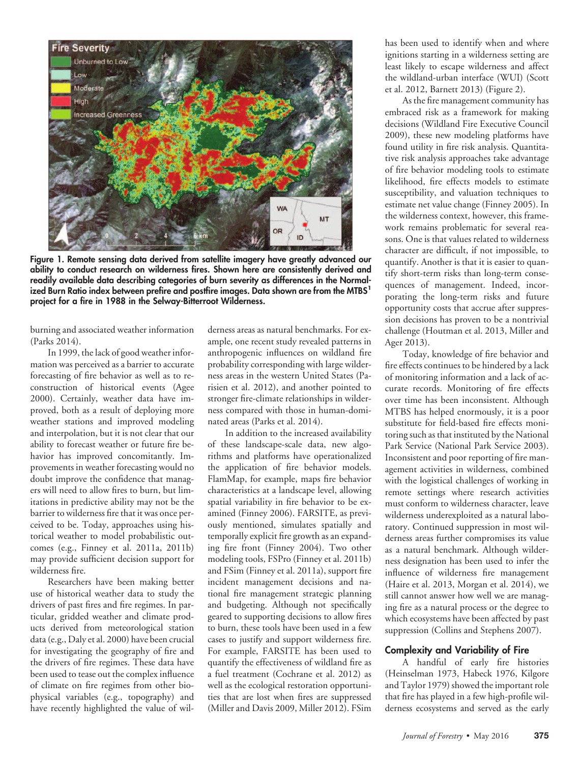

**Figure 1. Remote sensing data derived from satellite imagery have greatly advanced our ability to conduct research on wilderness fires. Shown here are consistently derived and readily available data describing categories of burn severity as differences in the Normal**ized Burn Ratio index between prefire and postfire images. Data shown are from the MTBS<sup>1</sup> **project for a fire in 1988 in the Selway-Bitterroot Wilderness.**

burning and associated weather information (Parks 2014).

In 1999, the lack of good weather information was perceived as a barrier to accurate forecasting of fire behavior as well as to reconstruction of historical events (Agee 2000). Certainly, weather data have improved, both as a result of deploying more weather stations and improved modeling and interpolation, but it is not clear that our ability to forecast weather or future fire behavior has improved concomitantly. Improvements in weather forecasting would no doubt improve the confidence that managers will need to allow fires to burn, but limitations in predictive ability may not be the barrier to wilderness fire that it was once perceived to be. Today, approaches using historical weather to model probabilistic outcomes (e.g., Finney et al. 2011a, 2011b) may provide sufficient decision support for wilderness fire.

Researchers have been making better use of historical weather data to study the drivers of past fires and fire regimes. In particular, gridded weather and climate products derived from meteorological station data (e.g., Daly et al. 2000) have been crucial for investigating the geography of fire and the drivers of fire regimes. These data have been used to tease out the complex influence of climate on fire regimes from other biophysical variables (e.g., topography) and have recently highlighted the value of wil-

derness areas as natural benchmarks. For example, one recent study revealed patterns in anthropogenic influences on wildland fire probability corresponding with large wilderness areas in the western United States (Parisien et al. 2012), and another pointed to stronger fire-climate relationships in wilderness compared with those in human-dominated areas (Parks et al. 2014).

In addition to the increased availability of these landscape-scale data, new algorithms and platforms have operationalized the application of fire behavior models. FlamMap, for example, maps fire behavior characteristics at a landscape level, allowing spatial variability in fire behavior to be examined (Finney 2006). FARSITE, as previously mentioned, simulates spatially and temporally explicit fire growth as an expanding fire front (Finney 2004). Two other modeling tools, FSPro (Finney et al. 2011b) and FSim (Finney et al. 2011a), support fire incident management decisions and national fire management strategic planning and budgeting. Although not specifically geared to supporting decisions to allow fires to burn, these tools have been used in a few cases to justify and support wilderness fire. For example, FARSITE has been used to quantify the effectiveness of wildland fire as a fuel treatment (Cochrane et al. 2012) as well as the ecological restoration opportunities that are lost when fires are suppressed (Miller and Davis 2009, Miller 2012). FSim

has been used to identify when and where ignitions starting in a wilderness setting are least likely to escape wilderness and affect the wildland-urban interface (WUI) (Scott et al. 2012, Barnett 2013) (Figure 2).

As the fire management community has embraced risk as a framework for making decisions (Wildland Fire Executive Council 2009), these new modeling platforms have found utility in fire risk analysis. Quantitative risk analysis approaches take advantage of fire behavior modeling tools to estimate likelihood, fire effects models to estimate susceptibility, and valuation techniques to estimate net value change (Finney 2005). In the wilderness context, however, this framework remains problematic for several reasons. One is that values related to wilderness character are difficult, if not impossible, to quantify. Another is that it is easier to quantify short-term risks than long-term consequences of management. Indeed, incorporating the long-term risks and future opportunity costs that accrue after suppression decisions has proven to be a nontrivial challenge (Houtman et al. 2013, Miller and Ager 2013).

Today, knowledge of fire behavior and fire effects continues to be hindered by a lack of monitoring information and a lack of accurate records. Monitoring of fire effects over time has been inconsistent. Although MTBS has helped enormously, it is a poor substitute for field-based fire effects monitoring such as that instituted by the National Park Service (National Park Service 2003). Inconsistent and poor reporting of fire management activities in wilderness, combined with the logistical challenges of working in remote settings where research activities must conform to wilderness character, leave wilderness underexploited as a natural laboratory. Continued suppression in most wilderness areas further compromises its value as a natural benchmark. Although wilderness designation has been used to infer the influence of wilderness fire management (Haire et al. 2013, Morgan et al. 2014), we still cannot answer how well we are managing fire as a natural process or the degree to which ecosystems have been affected by past suppression (Collins and Stephens 2007).

#### **Complexity and Variability of Fire**

A handful of early fire histories (Heinselman 1973, Habeck 1976, Kilgore and Taylor 1979) showed the important role that fire has played in a few high-profile wilderness ecosystems and served as the early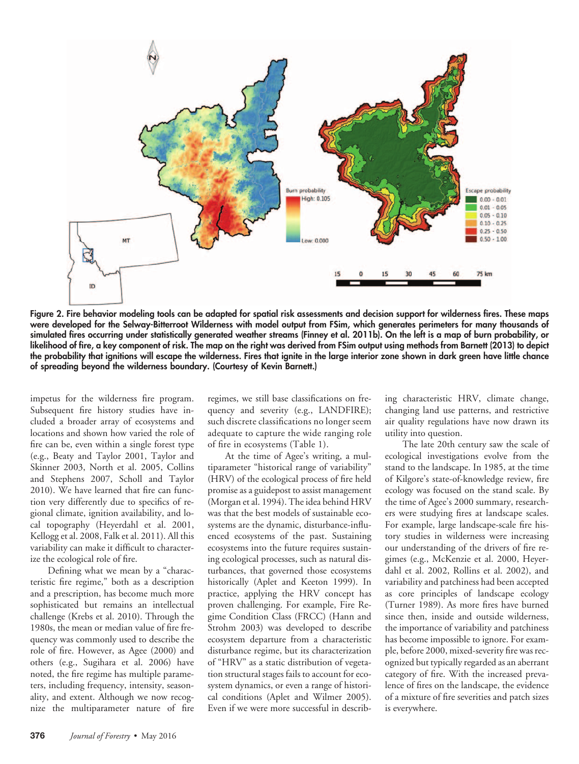

**Figure 2. Fire behavior modeling tools can be adapted for spatial risk assessments and decision support for wilderness fires. These maps were developed for the Selway-Bitterroot Wilderness with model output from FSim, which generates perimeters for many thousands of simulated fires occurring under statistically generated weather streams (Finney et al. 2011b). On the left is a map of burn probability, or likelihood of fire, a key component of risk. The map on the right was derived from FSim output using methods from Barnett (2013) to depict the probability that ignitions will escape the wilderness. Fires that ignite in the large interior zone shown in dark green have little chance of spreading beyond the wilderness boundary. (Courtesy of Kevin Barnett.)**

impetus for the wilderness fire program. Subsequent fire history studies have included a broader array of ecosystems and locations and shown how varied the role of fire can be, even within a single forest type (e.g., Beaty and Taylor 2001, Taylor and Skinner 2003, North et al. 2005, Collins and Stephens 2007, Scholl and Taylor 2010). We have learned that fire can function very differently due to specifics of regional climate, ignition availability, and local topography (Heyerdahl et al. 2001, Kellogg et al. 2008, Falk et al. 2011). All this variability can make it difficult to characterize the ecological role of fire.

Defining what we mean by a "characteristic fire regime," both as a description and a prescription, has become much more sophisticated but remains an intellectual challenge (Krebs et al. 2010). Through the 1980s, the mean or median value of fire frequency was commonly used to describe the role of fire. However, as Agee (2000) and others (e.g., Sugihara et al. 2006) have noted, the fire regime has multiple parameters, including frequency, intensity, seasonality, and extent. Although we now recognize the multiparameter nature of fire

regimes, we still base classifications on frequency and severity (e.g., LANDFIRE); such discrete classifications no longer seem adequate to capture the wide ranging role of fire in ecosystems (Table 1).

At the time of Agee's writing, a multiparameter "historical range of variability" (HRV) of the ecological process of fire held promise as a guidepost to assist management (Morgan et al. 1994). The idea behind HRV was that the best models of sustainable ecosystems are the dynamic, disturbance-influenced ecosystems of the past. Sustaining ecosystems into the future requires sustaining ecological processes, such as natural disturbances, that governed those ecosystems historically (Aplet and Keeton 1999). In practice, applying the HRV concept has proven challenging. For example, Fire Regime Condition Class (FRCC) (Hann and Strohm 2003) was developed to describe ecosystem departure from a characteristic disturbance regime, but its characterization of "HRV" as a static distribution of vegetation structural stages fails to account for ecosystem dynamics, or even a range of historical conditions (Aplet and Wilmer 2005). Even if we were more successful in describing characteristic HRV, climate change, changing land use patterns, and restrictive air quality regulations have now drawn its utility into question.

The late 20th century saw the scale of ecological investigations evolve from the stand to the landscape. In 1985, at the time of Kilgore's state-of-knowledge review, fire ecology was focused on the stand scale. By the time of Agee's 2000 summary, researchers were studying fires at landscape scales. For example, large landscape-scale fire history studies in wilderness were increasing our understanding of the drivers of fire regimes (e.g., McKenzie et al. 2000, Heyerdahl et al. 2002, Rollins et al. 2002), and variability and patchiness had been accepted as core principles of landscape ecology (Turner 1989). As more fires have burned since then, inside and outside wilderness, the importance of variability and patchiness has become impossible to ignore. For example, before 2000, mixed-severity fire was recognized but typically regarded as an aberrant category of fire. With the increased prevalence of fires on the landscape, the evidence of a mixture of fire severities and patch sizes is everywhere.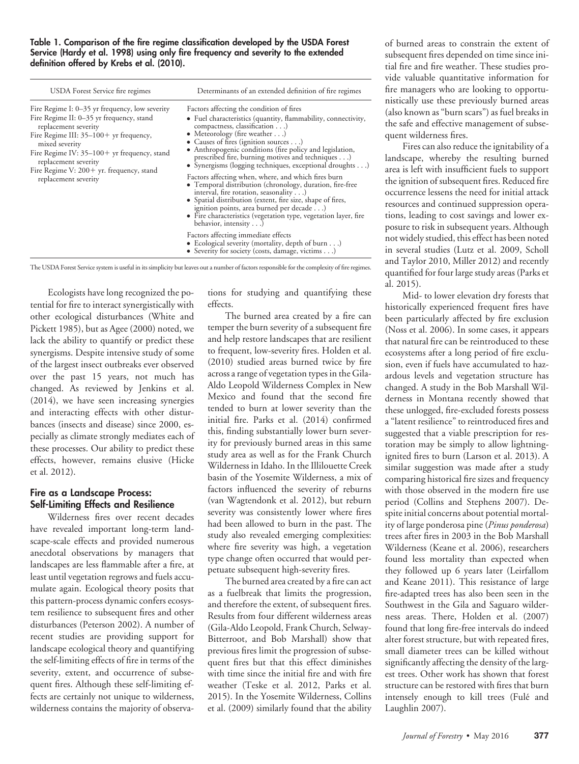**Table 1. Comparison of the fire regime classification developed by the USDA Forest Service (Hardy et al. 1998) using only fire frequency and severity to the extended definition offered by Krebs et al. (2010).**

| USDA Forest Service fire regimes                                                                                                                                                                                                                                                                                                  | Determinants of an extended definition of fire regimes                                                                                                                                                                                                                                                                                                                                                                                                                                                                                                                                                                                                                                                                                                                                                                                                   |
|-----------------------------------------------------------------------------------------------------------------------------------------------------------------------------------------------------------------------------------------------------------------------------------------------------------------------------------|----------------------------------------------------------------------------------------------------------------------------------------------------------------------------------------------------------------------------------------------------------------------------------------------------------------------------------------------------------------------------------------------------------------------------------------------------------------------------------------------------------------------------------------------------------------------------------------------------------------------------------------------------------------------------------------------------------------------------------------------------------------------------------------------------------------------------------------------------------|
| Fire Regime I: 0–35 yr frequency, low severity<br>Fire Regime II: 0-35 yr frequency, stand<br>replacement severity<br>Fire Regime III: $35-100+$ yr frequency,<br>mixed severity<br>Fire Regime IV: $35-100+$ yr frequency, stand<br>replacement severity<br>Fire Regime V: $200 + yr$ . frequency, stand<br>replacement severity | Factors affecting the condition of fires<br>• Fuel characteristics (quantity, flammability, connectivity,<br>compactness, classification)<br>• Meteorology (fire weather)<br>• Causes of fires (ignition sources)<br>• Anthropogenic conditions (fire policy and legislation,<br>prescribed fire, burning motives and techniques)<br>• Synergisms (logging techniques, exceptional droughts)<br>Factors affecting when, where, and which fires burn<br>• Temporal distribution (chronology, duration, fire-free<br>interval, fire rotation, seasonality)<br>· Spatial distribution (extent, fire size, shape of fires,<br>ignition points, area burned per decade)<br>• Fire characteristics (vegetation type, vegetation layer, fire<br>behavior, intensity)<br>Factors affecting immediate effects<br>• Ecological severity (mortality, depth of burn) |
|                                                                                                                                                                                                                                                                                                                                   | • Severity for society (costs, damage, victims)                                                                                                                                                                                                                                                                                                                                                                                                                                                                                                                                                                                                                                                                                                                                                                                                          |

The USDA Forest Service system is useful in its simplicity but leaves out a number of factors responsible for the complexity of fire regimes.

Ecologists have long recognized the potential for fire to interact synergistically with other ecological disturbances (White and Pickett 1985), but as Agee (2000) noted, we lack the ability to quantify or predict these synergisms. Despite intensive study of some of the largest insect outbreaks ever observed over the past 15 years, not much has changed. As reviewed by Jenkins et al. (2014), we have seen increasing synergies and interacting effects with other disturbances (insects and disease) since 2000, especially as climate strongly mediates each of these processes. Our ability to predict these effects, however, remains elusive (Hicke et al. 2012).

#### **Fire as a Landscape Process: Self-Limiting Effects and Resilience**

Wilderness fires over recent decades have revealed important long-term landscape-scale effects and provided numerous anecdotal observations by managers that landscapes are less flammable after a fire, at least until vegetation regrows and fuels accumulate again. Ecological theory posits that this pattern-process dynamic confers ecosystem resilience to subsequent fires and other disturbances (Peterson 2002). A number of recent studies are providing support for landscape ecological theory and quantifying the self-limiting effects of fire in terms of the severity, extent, and occurrence of subsequent fires. Although these self-limiting effects are certainly not unique to wilderness, wilderness contains the majority of observa-

tions for studying and quantifying these effects.

The burned area created by a fire can temper the burn severity of a subsequent fire and help restore landscapes that are resilient to frequent, low-severity fires. Holden et al. (2010) studied areas burned twice by fire across a range of vegetation types in the Gila-Aldo Leopold Wilderness Complex in New Mexico and found that the second fire tended to burn at lower severity than the initial fire. Parks et al. (2014) confirmed this, finding substantially lower burn severity for previously burned areas in this same study area as well as for the Frank Church Wilderness in Idaho. In the Illilouette Creek basin of the Yosemite Wilderness, a mix of factors influenced the severity of reburns (van Wagtendonk et al. 2012), but reburn severity was consistently lower where fires had been allowed to burn in the past. The study also revealed emerging complexities: where fire severity was high, a vegetation type change often occurred that would perpetuate subsequent high-severity fires.

The burned area created by a fire can act as a fuelbreak that limits the progression, and therefore the extent, of subsequent fires. Results from four different wilderness areas (Gila-Aldo Leopold, Frank Church, Selway-Bitterroot, and Bob Marshall) show that previous fires limit the progression of subsequent fires but that this effect diminishes with time since the initial fire and with fire weather (Teske et al. 2012, Parks et al. 2015). In the Yosemite Wilderness, Collins et al. (2009) similarly found that the ability

of burned areas to constrain the extent of subsequent fires depended on time since initial fire and fire weather. These studies provide valuable quantitative information for fire managers who are looking to opportunistically use these previously burned areas (also known as "burn scars") as fuel breaks in the safe and effective management of subsequent wilderness fires.

Fires can also reduce the ignitability of a landscape, whereby the resulting burned area is left with insufficient fuels to support the ignition of subsequent fires. Reduced fire occurrence lessens the need for initial attack resources and continued suppression operations, leading to cost savings and lower exposure to risk in subsequent years. Although not widely studied, this effect has been noted in several studies (Lutz et al. 2009, Scholl and Taylor 2010, Miller 2012) and recently quantified for four large study areas (Parks et al. 2015).

Mid- to lower elevation dry forests that historically experienced frequent fires have been particularly affected by fire exclusion (Noss et al. 2006). In some cases, it appears that natural fire can be reintroduced to these ecosystems after a long period of fire exclusion, even if fuels have accumulated to hazardous levels and vegetation structure has changed. A study in the Bob Marshall Wilderness in Montana recently showed that these unlogged, fire-excluded forests possess a "latent resilience" to reintroduced fires and suggested that a viable prescription for restoration may be simply to allow lightningignited fires to burn (Larson et al. 2013). A similar suggestion was made after a study comparing historical fire sizes and frequency with those observed in the modern fire use period (Collins and Stephens 2007). Despite initial concerns about potential mortality of large ponderosa pine (*Pinus ponderosa*) trees after fires in 2003 in the Bob Marshall Wilderness (Keane et al. 2006), researchers found less mortality than expected when they followed up 6 years later (Leirfallom and Keane 2011). This resistance of large fire-adapted trees has also been seen in the Southwest in the Gila and Saguaro wilderness areas. There, Holden et al. (2007) found that long fire-free intervals do indeed alter forest structure, but with repeated fires, small diameter trees can be killed without significantly affecting the density of the largest trees. Other work has shown that forest structure can be restored with fires that burn intensely enough to kill trees (Fulé and Laughlin 2007).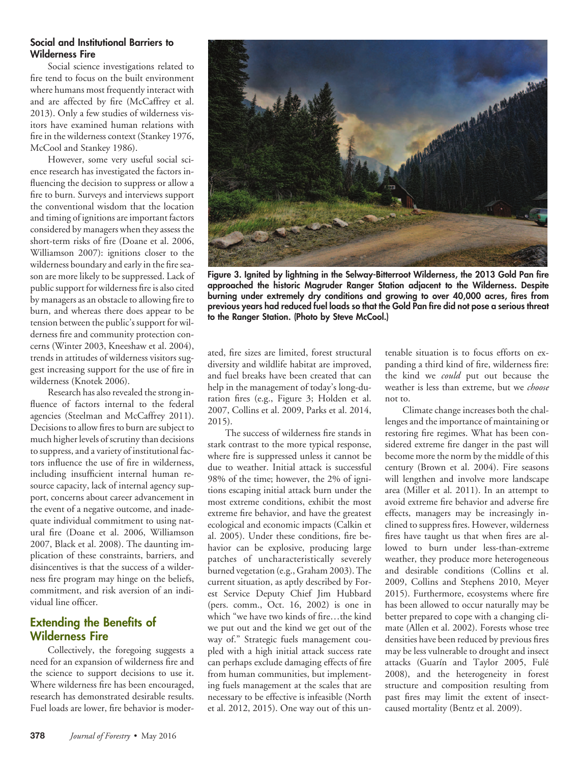#### **Social and Institutional Barriers to Wilderness Fire**

Social science investigations related to fire tend to focus on the built environment where humans most frequently interact with and are affected by fire (McCaffrey et al. 2013). Only a few studies of wilderness visitors have examined human relations with fire in the wilderness context (Stankey 1976, McCool and Stankey 1986).

However, some very useful social science research has investigated the factors influencing the decision to suppress or allow a fire to burn. Surveys and interviews support the conventional wisdom that the location and timing of ignitions are important factors considered by managers when they assess the short-term risks of fire (Doane et al. 2006, Williamson 2007): ignitions closer to the wilderness boundary and early in the fire season are more likely to be suppressed. Lack of public support for wilderness fire is also cited by managers as an obstacle to allowing fire to burn, and whereas there does appear to be tension between the public's support for wilderness fire and community protection concerns (Winter 2003, Kneeshaw et al. 2004), trends in attitudes of wilderness visitors suggest increasing support for the use of fire in wilderness (Knotek 2006).

Research has also revealed the strong influence of factors internal to the federal agencies (Steelman and McCaffrey 2011). Decisions to allow fires to burn are subject to much higher levels of scrutiny than decisions to suppress, and a variety of institutional factors influence the use of fire in wilderness, including insufficient internal human resource capacity, lack of internal agency support, concerns about career advancement in the event of a negative outcome, and inadequate individual commitment to using natural fire (Doane et al. 2006, Williamson 2007, Black et al. 2008). The daunting implication of these constraints, barriers, and disincentives is that the success of a wilderness fire program may hinge on the beliefs, commitment, and risk aversion of an individual line officer.

## **Extending the Benefits of Wilderness Fire**

Collectively, the foregoing suggests a need for an expansion of wilderness fire and the science to support decisions to use it. Where wilderness fire has been encouraged, research has demonstrated desirable results. Fuel loads are lower, fire behavior is moder-



**Figure 3. Ignited by lightning in the Selway-Bitterroot Wilderness, the 2013 Gold Pan fire approached the historic Magruder Ranger Station adjacent to the Wilderness. Despite burning under extremely dry conditions and growing to over 40,000 acres, fires from previous years had reduced fuel loads so that the Gold Pan fire did not pose a serious threat to the Ranger Station. (Photo by Steve McCool.)**

ated, fire sizes are limited, forest structural diversity and wildlife habitat are improved, and fuel breaks have been created that can help in the management of today's long-duration fires (e.g., Figure 3; Holden et al. 2007, Collins et al. 2009, Parks et al. 2014, 2015).

The success of wilderness fire stands in stark contrast to the more typical response, where fire is suppressed unless it cannot be due to weather. Initial attack is successful 98% of the time; however, the 2% of ignitions escaping initial attack burn under the most extreme conditions, exhibit the most extreme fire behavior, and have the greatest ecological and economic impacts (Calkin et al. 2005). Under these conditions, fire behavior can be explosive, producing large patches of uncharacteristically severely burned vegetation (e.g., Graham 2003). The current situation, as aptly described by Forest Service Deputy Chief Jim Hubbard (pers. comm., Oct. 16, 2002) is one in which "we have two kinds of fire…the kind we put out and the kind we get out of the way of." Strategic fuels management coupled with a high initial attack success rate can perhaps exclude damaging effects of fire from human communities, but implementing fuels management at the scales that are necessary to be effective is infeasible (North et al. 2012, 2015). One way out of this un-

tenable situation is to focus efforts on expanding a third kind of fire, wilderness fire: the kind we *could* put out because the weather is less than extreme, but we *choose* not to.

Climate change increases both the challenges and the importance of maintaining or restoring fire regimes. What has been considered extreme fire danger in the past will become more the norm by the middle of this century (Brown et al. 2004). Fire seasons will lengthen and involve more landscape area (Miller et al. 2011). In an attempt to avoid extreme fire behavior and adverse fire effects, managers may be increasingly inclined to suppress fires. However, wilderness fires have taught us that when fires are allowed to burn under less-than-extreme weather, they produce more heterogeneous and desirable conditions (Collins et al. 2009, Collins and Stephens 2010, Meyer 2015). Furthermore, ecosystems where fire has been allowed to occur naturally may be better prepared to cope with a changing climate (Allen et al. 2002). Forests whose tree densities have been reduced by previous fires may be less vulnerable to drought and insect attacks (Guarín and Taylor 2005, Fulé 2008), and the heterogeneity in forest structure and composition resulting from past fires may limit the extent of insectcaused mortality (Bentz et al. 2009).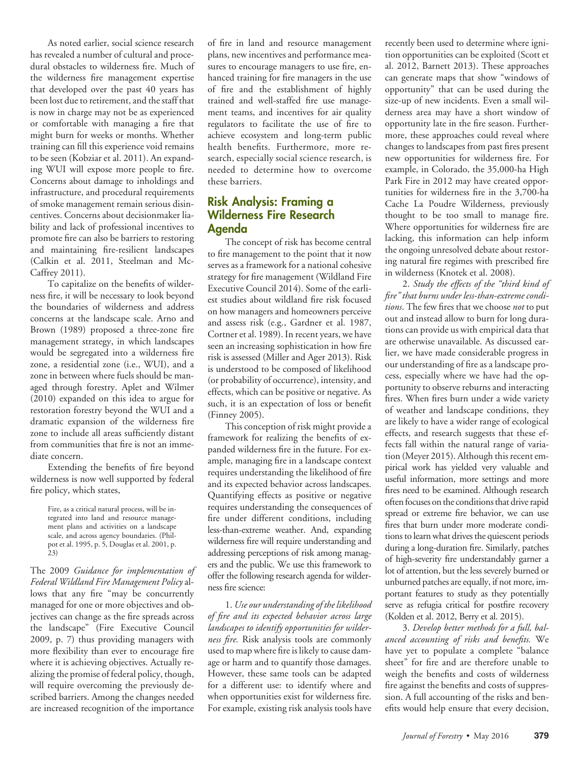As noted earlier, social science research has revealed a number of cultural and procedural obstacles to wilderness fire. Much of the wilderness fire management expertise that developed over the past 40 years has been lost due to retirement, and the staff that is now in charge may not be as experienced or comfortable with managing a fire that might burn for weeks or months. Whether training can fill this experience void remains to be seen (Kobziar et al. 2011). An expanding WUI will expose more people to fire. Concerns about damage to inholdings and infrastructure, and procedural requirements of smoke management remain serious disincentives. Concerns about decisionmaker liability and lack of professional incentives to promote fire can also be barriers to restoring and maintaining fire-resilient landscapes (Calkin et al. 2011, Steelman and Mc-Caffrey 2011).

To capitalize on the benefits of wilderness fire, it will be necessary to look beyond the boundaries of wilderness and address concerns at the landscape scale. Arno and Brown (1989) proposed a three-zone fire management strategy, in which landscapes would be segregated into a wilderness fire zone, a residential zone (i.e., WUI), and a zone in between where fuels should be managed through forestry. Aplet and Wilmer (2010) expanded on this idea to argue for restoration forestry beyond the WUI and a dramatic expansion of the wilderness fire zone to include all areas sufficiently distant from communities that fire is not an immediate concern.

Extending the benefits of fire beyond wilderness is now well supported by federal fire policy, which states,

> Fire, as a critical natural process, will be integrated into land and resource management plans and activities on a landscape scale, and across agency boundaries. (Philpot et al. 1995, p. 5, Douglas et al. 2001, p.  $23)$

The 2009 *Guidance for implementation of Federal Wildland Fire Management Policy* allows that any fire "may be concurrently managed for one or more objectives and objectives can change as the fire spreads across the landscape" (Fire Executive Council 2009, p. 7) thus providing managers with more flexibility than ever to encourage fire where it is achieving objectives. Actually realizing the promise of federal policy, though, will require overcoming the previously described barriers. Among the changes needed are increased recognition of the importance

of fire in land and resource management plans, new incentives and performance measures to encourage managers to use fire, enhanced training for fire managers in the use of fire and the establishment of highly trained and well-staffed fire use management teams, and incentives for air quality regulators to facilitate the use of fire to achieve ecosystem and long-term public health benefits. Furthermore, more research, especially social science research, is needed to determine how to overcome these barriers.

## **Risk Analysis: Framing a Wilderness Fire Research Agenda**

The concept of risk has become central to fire management to the point that it now serves as a framework for a national cohesive strategy for fire management (Wildland Fire Executive Council 2014). Some of the earliest studies about wildland fire risk focused on how managers and homeowners perceive and assess risk (e.g., Gardner et al. 1987, Cortner et al. 1989). In recent years, we have seen an increasing sophistication in how fire risk is assessed (Miller and Ager 2013). Risk is understood to be composed of likelihood (or probability of occurrence), intensity, and effects, which can be positive or negative. As such, it is an expectation of loss or benefit (Finney 2005).

This conception of risk might provide a framework for realizing the benefits of expanded wilderness fire in the future. For example, managing fire in a landscape context requires understanding the likelihood of fire and its expected behavior across landscapes. Quantifying effects as positive or negative requires understanding the consequences of fire under different conditions, including less-than-extreme weather. And, expanding wilderness fire will require understanding and addressing perceptions of risk among managers and the public. We use this framework to offer the following research agenda for wilderness fire science:

1. *Use our understanding of the likelihood of fire and its expected behavior across large landscapes to identify opportunities for wilderness fire.* Risk analysis tools are commonly used to map where fire is likely to cause damage or harm and to quantify those damages. However, these same tools can be adapted for a different use: to identify where and when opportunities exist for wilderness fire. For example, existing risk analysis tools have

recently been used to determine where ignition opportunities can be exploited (Scott et al. 2012, Barnett 2013). These approaches can generate maps that show "windows of opportunity" that can be used during the size-up of new incidents. Even a small wilderness area may have a short window of opportunity late in the fire season. Furthermore, these approaches could reveal where changes to landscapes from past fires present new opportunities for wilderness fire. For example, in Colorado, the 35,000-ha High Park Fire in 2012 may have created opportunities for wilderness fire in the 3,700-ha Cache La Poudre Wilderness, previously thought to be too small to manage fire. Where opportunities for wilderness fire are lacking, this information can help inform the ongoing unresolved debate about restoring natural fire regimes with prescribed fire in wilderness (Knotek et al. 2008).

2. *Study the effects of the "third kind of fire" that burns under less-than-extreme conditions*. The few fires that we choose *not* to put out and instead allow to burn for long durations can provide us with empirical data that are otherwise unavailable. As discussed earlier, we have made considerable progress in our understanding of fire as a landscape process, especially where we have had the opportunity to observe reburns and interacting fires. When fires burn under a wide variety of weather and landscape conditions, they are likely to have a wider range of ecological effects, and research suggests that these effects fall within the natural range of variation (Meyer 2015). Although this recent empirical work has yielded very valuable and useful information, more settings and more fires need to be examined. Although research often focuses on the conditions that drive rapid spread or extreme fire behavior, we can use fires that burn under more moderate conditions to learn what drives the quiescent periods during a long-duration fire. Similarly, patches of high-severity fire understandably garner a lot of attention, but the less severely burned or unburned patches are equally, if not more, important features to study as they potentially serve as refugia critical for postfire recovery (Kolden et al. 2012, Berry et al. 2015).

3. *Develop better methods for a full, balanced accounting of risks and benefits.* We have yet to populate a complete "balance sheet" for fire and are therefore unable to weigh the benefits and costs of wilderness fire against the benefits and costs of suppression. A full accounting of the risks and benefits would help ensure that every decision,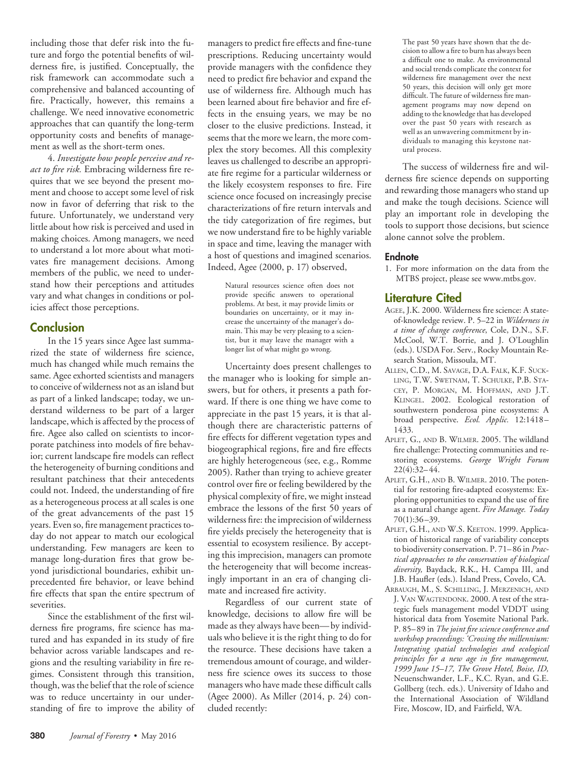including those that defer risk into the future and forgo the potential benefits of wilderness fire, is justified. Conceptually, the risk framework can accommodate such a comprehensive and balanced accounting of fire. Practically, however, this remains a challenge. We need innovative econometric approaches that can quantify the long-term opportunity costs and benefits of management as well as the short-term ones.

4. *Investigate how people perceive and react to fire risk.* Embracing wilderness fire requires that we see beyond the present moment and choose to accept some level of risk now in favor of deferring that risk to the future. Unfortunately, we understand very little about how risk is perceived and used in making choices. Among managers, we need to understand a lot more about what motivates fire management decisions. Among members of the public, we need to understand how their perceptions and attitudes vary and what changes in conditions or policies affect those perceptions.

#### **Conclusion**

In the 15 years since Agee last summarized the state of wilderness fire science, much has changed while much remains the same. Agee exhorted scientists and managers to conceive of wilderness not as an island but as part of a linked landscape; today, we understand wilderness to be part of a larger landscape, which is affected by the process of fire. Agee also called on scientists to incorporate patchiness into models of fire behavior; current landscape fire models can reflect the heterogeneity of burning conditions and resultant patchiness that their antecedents could not. Indeed, the understanding of fire as a heterogeneous process at all scales is one of the great advancements of the past 15 years. Even so, fire management practices today do not appear to match our ecological understanding. Few managers are keen to manage long-duration fires that grow beyond jurisdictional boundaries, exhibit unprecedented fire behavior, or leave behind fire effects that span the entire spectrum of severities.

Since the establishment of the first wilderness fire programs, fire science has matured and has expanded in its study of fire behavior across variable landscapes and regions and the resulting variability in fire regimes. Consistent through this transition, though, was the belief that the role of science was to reduce uncertainty in our understanding of fire to improve the ability of

managers to predict fire effects and fine-tune prescriptions. Reducing uncertainty would provide managers with the confidence they need to predict fire behavior and expand the use of wilderness fire. Although much has been learned about fire behavior and fire effects in the ensuing years, we may be no closer to the elusive predictions. Instead, it seems that the more we learn, the more complex the story becomes. All this complexity leaves us challenged to describe an appropriate fire regime for a particular wilderness or the likely ecosystem responses to fire. Fire science once focused on increasingly precise characterizations of fire return intervals and the tidy categorization of fire regimes, but we now understand fire to be highly variable in space and time, leaving the manager with a host of questions and imagined scenarios. Indeed, Agee (2000, p. 17) observed,

> Natural resources science often does not provide specific answers to operational problems. At best, it may provide limits or boundaries on uncertainty, or it may increase the uncertainty of the manager's domain. This may be very pleasing to a scientist, but it may leave the manager with a longer list of what might go wrong.

Uncertainty does present challenges to the manager who is looking for simple answers, but for others, it presents a path forward. If there is one thing we have come to appreciate in the past 15 years, it is that although there are characteristic patterns of fire effects for different vegetation types and biogeographical regions, fire and fire effects are highly heterogeneous (see, e.g., Romme 2005). Rather than trying to achieve greater control over fire or feeling bewildered by the physical complexity of fire, we might instead embrace the lessons of the first 50 years of wilderness fire: the imprecision of wilderness fire yields precisely the heterogeneity that is essential to ecosystem resilience. By accepting this imprecision, managers can promote the heterogeneity that will become increasingly important in an era of changing climate and increased fire activity.

Regardless of our current state of knowledge, decisions to allow fire will be made as they always have been— by individuals who believe it is the right thing to do for the resource. These decisions have taken a tremendous amount of courage, and wilderness fire science owes its success to those managers who have made these difficult calls (Agee 2000). As Miller (2014, p. 24) concluded recently:

The past 50 years have shown that the decision to allow a fire to burn has always been a difficult one to make. As environmental and social trends complicate the context for wilderness fire management over the next 50 years, this decision will only get more difficult. The future of wilderness fire management programs may now depend on adding to the knowledge that has developed over the past 50 years with research as well as an unwavering commitment by individuals to managing this keystone natural process.

The success of wilderness fire and wilderness fire science depends on supporting and rewarding those managers who stand up and make the tough decisions. Science will play an important role in developing the tools to support those decisions, but science alone cannot solve the problem.

#### **Endnote**

1. For more information on the data from the MTBS project, please see [www.mtbs.gov.](http://www.mtbs.gov)

## **Literature Cited**

- AGEE, J.K. 2000. Wilderness fire science: A stateof-knowledge review. P. 5–22 in *Wilderness in a time of change conference*, Cole, D.N., S.F. McCool, W.T. Borrie, and J. O'Loughlin (eds.). USDA For. Serv., Rocky Mountain Research Station, Missoula, MT.
- ALLEN, C.D., M. SAVAGE, D.A. FALK, K.F. SUCK-LING, T.W. SWETNAM, T. SCHULKE, P.B. STA-CEY, P. MORGAN, M. HOFFMAN, AND J.T. KLINGEL. 2002. Ecological restoration of southwestern ponderosa pine ecosystems: A broad perspective. *Ecol. Applic.* 12:1418 – 1433.
- APLET, G., AND B. WILMER. 2005. The wildland fire challenge: Protecting communities and restoring ecosystems. *George Wright Forum* 22(4):32– 44.
- APLET, G.H., AND B. WILMER. 2010. The potential for restoring fire-adapted ecosystems: Exploring opportunities to expand the use of fire as a natural change agent. *Fire Manage. Today* 70(1):36 –39.
- APLET, G.H., AND W.S. KEETON. 1999. Application of historical range of variability concepts to biodiversity conservation. P. 71– 86 in *Practical approaches to the conservation of biological diversity,* Baydack, R.K., H. Campa III, and J.B. Haufler (eds.). Island Press, Covelo, CA.
- ARBAUGH, M., S. SCHILLING, J. MERZENICH, AND J. VAN WAGTENDONK. 2000. A test of the strategic fuels management model VDDT using historical data from Yosemite National Park. P. 85– 89 in *The joint fire science conference and workshop proceedings: 'Crossing the millennium: Integrating spatial technologies and ecological principles for a new age in fire management, 1999 June 15–17, The Grove Hotel, Boise, ID,* Neuenschwander, L.F., K.C. Ryan, and G.E. Gollberg (tech. eds.). University of Idaho and the International Association of Wildland Fire, Moscow, ID, and Fairfield, WA.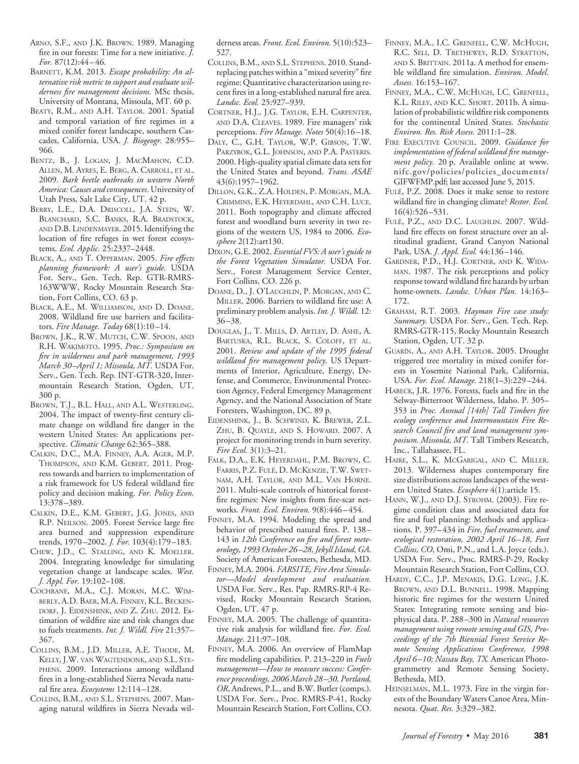- ARNO, S.F., AND J.K. BROWN. 1989. Managing fire in our forests: Time for a new initiative. *J. For.* 87(12):44 – 46.
- BARNETT, K.M. 2013. *Escape probability: An alternative risk metric to support and evaluate wilderness fire management decisions.* MSc thesis, University of Montana, Missoula, MT. 60 p.
- BEATY, R.M., AND A.H. TAYLOR. 2001. Spatial and temporal variation of fire regimes in a mixed conifer forest landscape, southern Cascades, California, USA. *J. Biogeogr.* 28:955– 966.
- BENTZ, B., J. LOGAN, J. MACMAHON, C.D. ALLEN, M. AYRES, E. BERG, A. CARROLL, ET AL. 2009. *Bark beetle outbreaks in western North America: Causes and consequences*. University of Utah Press, Salt Lake City, UT. 42 p.
- BERRY, L.E., D.A. DRISCOLL, J.A. STEIN, W. BLANCHARD, S.C. BANKS, R.A. BRADSTOCK, AND D.B. LINDENMAYER. 2015. Identifying the location of fire refuges in wet forest ecosystems. *Ecol. Applic.* 25:2337–2448.
- BLACK, A., AND T. OPPERMAN. 2005. *Fire effects planning framework: A user's guide.* USDA For. Serv., Gen. Tech. Rep. GTR-RMRS-163WWW, Rocky Mountain Research Station, Fort Collins, CO. 63 p.
- BLACK, A.E., M. WILLIAMSON, AND D. DOANE. 2008. Wildland fire use barriers and facilitators. *Fire Manage. Today* 68(1):10 –14.
- BROWN, J.K., R.W. MUTCH, C.W. SPOON, AND R.H. WAKIMOTO. 1995. *Proc.: Symposium on fire in wilderness and park management, 1993 March 30 –April 1; Missoula, MT.* USDA For. Serv., Gen. Tech. Rep. INT-GTR-320, Intermountain Research Station, Ogden, UT. 300 p.
- BROWN, T.J., B.L. HALL, AND A.L. WESTERLING. 2004. The impact of twenty-first century climate change on wildland fire danger in the western United States: An applications perspective. *Climatic Change* 62:365–388.
- CALKIN, D.C., M.A. FINNEY, A.A. AGER, M.P. THOMPSON, AND K.M. GEBERT. 2011. Progress towards and barriers to implementation of a risk framework for US federal wildland fire policy and decision making. *For. Policy Econ.* 13:378 –389.
- CALKIN, D.E., K.M. GEBERT, J.G. JONES, AND R.P. NEILSON. 2005. Forest Service large fire area burned and suppression expenditure trends, 1970 –2002. *J. For.* 103(4):179 –183.
- CHEW, J.D., C. STALLING, AND K. MOELLER. 2004. Integrating knowledge for simulating vegetation change at landscape scales. *West. J. Appl. For.* 19:102–108.
- COCHRANE, M.A., C.J. MORAN, M.C. WIM-BERLY, A.D. BAER, M.A. FINNEY, K.L. BECKEN-DORF, J. EIDENSHINK, AND Z. ZHU. 2012. Estimation of wildfire size and risk changes due to fuels treatments. *Int. J. Wildl. Fire* 21:357– 367.
- COLLINS, B.M., J.D. MILLER, A.E. THODE, M. KELLY, J.W. VAN WAGTENDONK, AND S.L. STE-PHENS. 2009. Interactions among wildland fires in a long-established Sierra Nevada natural fire area. *Ecosystems* 12:114 –128.
- COLLINS, B.M., AND S.L. STEPHENS. 2007. Managing natural wildfires in Sierra Nevada wil-

derness areas. *Front. Ecol. Environ.* 5(10):523– 527.

- COLLINS, B.M., AND S.L. STEPHENS. 2010. Standreplacing patches within a "mixed severity" fire regime: Quantitative characterization using recent fires in a long-established natural fire area. *Landsc. Ecol.* 25:927–939.
- CORTNER, H.J., J.G. TAYLOR, E.H. CARPENTER, AND D.A. CLEAVES. 1989. Fire managers' risk perceptions. *Fire Manage. Notes* 50(4):16 –18.
- DALY, C., G.H. TAYLOR, W.P. GIBSON, T.W. PARZYBOK, G.L. JOHNSON, AND P.A. PASTERIS. 2000. High-quality spatial climate data sets for the United States and beyond. *Trans. ASAE* 43(6):1957–1962.
- DILLON, G.K., Z.A. HOLDEN, P. MORGAN, M.A. CRIMMINS, E.K. HEYERDAHL, AND C.H. LUCE. 2011. Both topography and climate affected forest and woodland burn severity in two regions of the western US, 1984 to 2006. *Ecosphere* 2(12):art130.
- DIXON, G.E. 2002. *Essential FVS: A user's guide to the Forest Vegetation Simulator.* USDA For. Serv., Forest Management Service Center, Fort Collins, CO. 226 p.
- DOANE, D., J. O'LAUGHLIN, P. MORGAN, AND C. MILLER. 2006. Barriers to wildland fire use: A preliminary problem analysis. *Int. J. Wildl.* 12: 36 –38.
- DOUGLAS, J., T. MILLS, D. ARTLEY, D. ASHE, A. BARTUSKA, R.L. BLACK, S. COLOFF, ET AL. 2001. *Review and update of the 1995 federal wildland fire management policy*. US Departments of Interior, Agriculture, Energy, Defense, and Commerce, Environmental Protection Agency, Federal Emergency Management Agency, and the National Association of State Foresters, Washington, DC. 89 p.
- EIDENSHINK, J., B. SCHWIND, K. BREWER, Z.L. ZHU, B. QUAYLE, AND S. HOWARD. 2007. A project for monitoring trends in burn severity. *Fire Ecol.* 3(1):3–21.
- FALK, D.A., E.K. HEYERDAHL, P.M. BROWN, C. FARRIS, P.Z. FULÉ, D. MCKENZIE, T.W. SWET-NAM, A.H. TAYLOR, AND M.L. VAN HORNE. 2011. Multi-scale controls of historical forestfire regimes: New insights from fire-scar networks. *Front. Ecol. Environ.* 9(8):446 – 454.
- FINNEY, M.A. 1994. Modeling the spread and behavior of prescribed natural fires. P. 138 – 143 in *12th Conference on fire and forest meteorology, 1993 October 26 –28, Jekyll Island, GA*. Society of American Foresters, Bethesda, MD.
- FINNEY, M.A. 2004. *FARSITE, Fire Area Simulator—Model development and evaluation.* USDA For. Serv., Res. Pap. RMRS-RP-4 Revised, Rocky Mountain Research Station, Ogden, UT. 47 p.
- FINNEY, M.A. 2005. The challenge of quantitative risk analysis for wildland fire. *For. Ecol. Manage.* 211:97–108.
- FINNEY, M.A. 2006. An overview of FlamMap fire modeling capabilities. P. 213–220 in *Fuels management—How to measure success: Conference proceedings, 2006 March 28 –30, Portland, OR*, Andrews, P.L., and B.W. Butler (comps.). USDA For. Serv., Proc. RMRS-P-41, Rocky Mountain Research Station, Fort Collins, CO.
- FINNEY, M.A., I.C. GRENFELL, C.W. MCHUGH, R.C. SELI, D. TRETHEWEY, R.D. STRATTON, AND S. BRITTAIN. 2011a. A method for ensemble wildland fire simulation. *Environ. Model. Assess.* 16:153–167.
- FINNEY, M.A., C.W. MCHUGH, I.C. GRENFELL, K.L. RILEY, AND K.C. SHORT. 2011b. A simulation of probabilistic wildfire risk components for the continental United States. *Stochastic Environ. Res. Risk Assess.* 2011:1–28.
- FIRE EXECUTIVE COUNCIL. 2009. *Guidance for implementation of federal wildland fire management policy.* 20 p. Available online at [www.](http://www.nifc.gov/policies/policies_documents/GIFWFMP.pdf) [nifc.gov/policies/policies\\_documents/](http://www.nifc.gov/policies/policies_documents/GIFWFMP.pdf) [GIFWFMP.pdf;](http://www.nifc.gov/policies/policies_documents/GIFWFMP.pdf) last accessed June 5, 2015.
- FULÉ, P.Z. 2008. Does it make sense to restore wildland fire in changing climate? *Restor. Ecol.* 16(4):526 –531.
- FULE, P.Z., AND D.C. LAUGHLIN. 2007. Wildland fire effects on forest structure over an altitudinal gradient, Grand Canyon National Park, USA. *J. Appl. Ecol.* 44:136 –146.
- GARDNER, P.D., H.J. CORTNER, AND K. WIDA-MAN. 1987. The risk perceptions and policy response toward wildland fire hazards by urban home-owners. *Landsc. Urban Plan.* 14:163– 172.
- GRAHAM, R.T. 2003. *Hayman Fire case study: Summary.* USDA For. Serv., Gen. Tech. Rep. RMRS-GTR-115, Rocky Mountain Research Station, Ogden, UT. 32 p.
- GUARÍN, A., AND A.H. TAYLOR. 2005. Drought triggered tree mortality in mixed conifer forests in Yosemite National Park, California, USA. *For. Ecol. Manage.* 218(1–3):229 –244.
- HABECK, J.R. 1976. Forests, fuels and fire in the Selway-Bitterroot Wilderness, Idaho. P. 305– 353 in *Proc. Annual [14th] Tall Timbers fire ecology conference and Intermountain Fire Research Council fire and land management symposium. Missoula, MT.* Tall Timbers Research, Inc., Tallahassee, FL.
- HAIRE, S.L., K. MCGARIGAL, AND C. MILLER. 2013. Wilderness shapes contemporary fire size distributions across landscapes of the western United States. *Ecosphere* 4(1):article 15.
- HANN, W.J., AND D.J. STROHM. (2003). Fire regime condition class and associated data for fire and fuel planning: Methods and applications. P. 397– 434 in *Fire, fuel treatments, and ecological restoration, 2002 April 16 –18, Fort Collins, CO*, Omi, P.N., and L.A. Joyce (eds.). USDA For. Serv., Proc. RMRS-P-29, Rocky Mountain Research Station, Fort Collins, CO.
- HARDY, C.C., J.P. MENAKIS, D.G. LONG, J.K. BROWN, AND D.L. BUNNELL. 1998. Mapping historic fire regimes for the western United States: Integrating remote sensing and biophysical data. P. 288 –300 in *Natural resources management using remote sensing and GIS, Proceedings of the 7th Biennial Forest Service Remote Sensing Applications Conference, 1998 April 6 –10; Nassau Bay, TX.* American Photogrammetry and Remote Sensing Society, Bethesda, MD.
- HEINSELMAN, M.L. 1973. Fire in the virgin forests of the Boundary Waters Canoe Area, Minnesota. *Quat. Res.* 3:329 –382.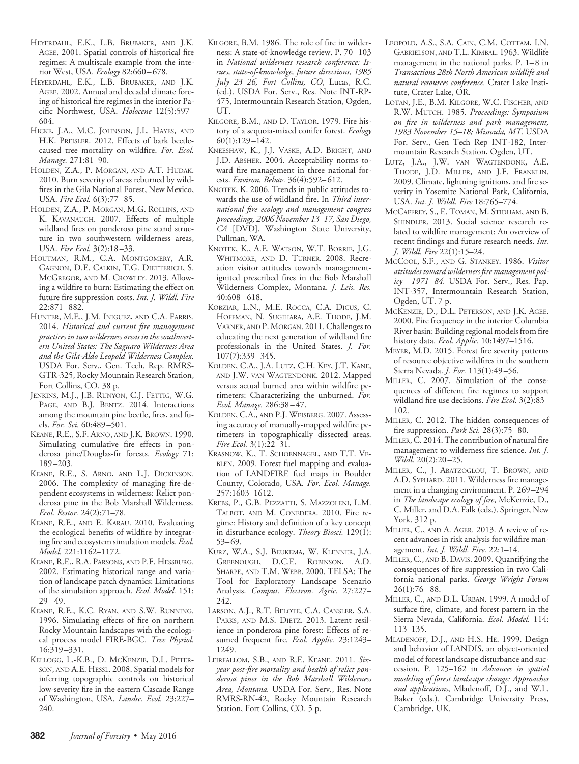- HEYERDAHL, E.K., L.B. BRUBAKER, AND J.K. AGEE. 2001. Spatial controls of historical fire regimes: A multiscale example from the interior West, USA. *Ecology* 82:660 – 678.
- HEYERDAHL, E.K., L.B. BRUBAKER, AND J.K. AGEE. 2002. Annual and decadal climate forcing of historical fire regimes in the interior Pacific Northwest, USA. *Holocene* 12(5):597– 604.
- HICKE, J.A., M.C. JOHNSON, J.L. HAYES, AND H.K. PREISLER. 2012. Effects of bark beetlecaused tree mortality on wildfire. *For. Ecol. Manage.* 271:81–90.
- HOLDEN, Z.A., P. MORGAN, AND A.T. HUDAK. 2010. Burn severity of areas reburned by wildfires in the Gila National Forest, New Mexico, USA. *Fire Ecol.* 6(3):77– 85.
- HOLDEN, Z.A., P. MORGAN, M.G. ROLLINS, AND K. KAVANAUGH. 2007. Effects of multiple wildland fires on ponderosa pine stand structure in two southwestern wilderness areas, USA. *Fire Ecol.* 3(2):18 –33.
- HOUTMAN, R.M., C.A. MONTGOMERY, A.R. GAGNON, D.E. CALKIN, T.G. DIETTERICH, S. MCGREGOR, AND M. CROWLEY. 2013. Allowing a wildfire to burn: Estimating the effect on future fire suppression costs. *Int. J. Wildl. Fire* 22:871– 882.
- HUNTER, M.E., J.M. INIGUEZ, AND C.A. FARRIS. 2014. *Historical and current fire management practices in two wilderness areas in the southwestern United States: The Saguaro Wilderness Area and the Gila-Aldo Leopold Wilderness Complex.* USDA For. Serv., Gen. Tech. Rep. RMRS-GTR-325, Rocky Mountain Research Station, Fort Collins, CO. 38 p.
- JENKINS, M.J., J.B. RUNYON, C.J. FETTIG, W.G. PAGE, AND B.J. BENTZ. 2014. Interactions among the mountain pine beetle, fires, and fuels. *For. Sci.* 60:489 –501.
- KEANE, R.E., S.F. ARNO, AND J.K. BROWN. 1990. Simulating cumulative fire effects in ponderosa pine/Douglas-fir forests. *Ecology* 71: 189 –203.
- KEANE, R.E., S. ARNO, AND L.J. DICKINSON. 2006. The complexity of managing fire-dependent ecosystems in wilderness: Relict ponderosa pine in the Bob Marshall Wilderness. *Ecol. Restor.* 24(2):71–78.
- KEANE, R.E., AND E. KARAU. 2010. Evaluating the ecological benefits of wildfire by integrating fire and ecosystem simulation models. *Ecol. Model.* 221:1162–1172.
- KEANE, R.E., R.A. PARSONS, AND P.F. HESSBURG. 2002. Estimating historical range and variation of landscape patch dynamics: Limitations of the simulation approach. *Ecol. Model.* 151:  $29 - 49.$
- KEANE, R.E., K.C. RYAN, AND S.W. RUNNING. 1996. Simulating effects of fire on northern Rocky Mountain landscapes with the ecological process model FIRE-BGC. *Tree Physiol.* 16:319 –331.
- KELLOGG, L.-K.B., D. MCKENZIE, D.L. PETER-SON, AND A.E. HESSL. 2008. Spatial models for inferring topographic controls on historical low-severity fire in the eastern Cascade Range of Washington, USA. *Landsc. Ecol.* 23:227– 240.
- KILGORE, B.M. 1986. The role of fire in wilderness: A state-of-knowledge review. P. 70 –103 in *National wilderness research conference: Issues, state-of-knowledge, future directions, 1985 July 23–26, Fort Collins, CO*, Lucas, R.C. (ed.). USDA For. Serv., Res. Note INT-RP-475, Intermountain Research Station, Ogden, UT.
- KILGORE, B.M., AND D. TAYLOR. 1979. Fire history of a sequoia-mixed conifer forest. *Ecology* 60(1):129 –142.
- KNEESHAW, K., J.J. VASKE, A.D. BRIGHT, AND J.D. ABSHER. 2004. Acceptability norms toward fire management in three national forests. *Environ. Behav.* 36(4):592– 612.
- KNOTEK, K. 2006. Trends in public attitudes towards the use of wildland fire. In *Third international fire ecology and management congress proceedings, 2006 November 13–17, San Diego, CA* [DVD]. Washington State University, Pullman, WA.
- KNOTEK, K., A.E. WATSON, W.T. BORRIE, J.G. WHITMORE, AND D. TURNER. 2008. Recreation visitor attitudes towards managementignited prescribed fires in the Bob Marshall Wilderness Complex, Montana. *J. Leis. Res.* 40:608 – 618.
- KOBZIAR, L.N., M.E. ROCCA, C.A. DICUS, C. HOFFMAN, N. SUGIHARA, A.E. THODE, J.M. VARNER, AND P. MORGAN. 2011. Challenges to educating the next generation of wildland fire professionals in the United States. *J. For.* 107(7):339 –345.
- KOLDEN, C.A., J.A. LUTZ, C.H. KEY, J.T. KANE, AND J.W. VAN WAGTENDONK. 2012. Mapped versus actual burned area within wildfire perimeters: Characterizing the unburned. *For. Ecol. Manage.* 286:38 – 47.
- KOLDEN, C.A., AND P.J. WEISBERG. 2007. Assessing accuracy of manually-mapped wildfire perimeters in topographically dissected areas. *Fire Ecol.* 3(1):22–31.
- KRASNOW, K., T. SCHOENNAGEL, AND T.T. VE-BLEN. 2009. Forest fuel mapping and evaluation of LANDFIRE fuel maps in Boulder County, Colorado, USA. *For. Ecol. Manage.* 257:1603–1612.
- KREBS, P., G.B. PEZZATTI, S. MAZZOLENI, L.M. TALBOT, AND M. CONEDERA. 2010. Fire regime: History and definition of a key concept in disturbance ecology. *Theory Biosci.* 129(1): 53– 69.
- KURZ, W.A., S.J. BEUKEMA, W. KLENNER, J.A. GREENOUGH, D.C.E. ROBINSON, A.D. SHARPE, AND T.M. WEBB. 2000. TELSA: The Tool for Exploratory Landscape Scenario Analysis. *Comput. Electron. Agric.* 27:227– 242.
- LARSON, A.J., R.T. BELOTE, C.A. CANSLER, S.A. PARKS, AND M.S. DIETZ. 2013. Latent resilience in ponderosa pine forest: Effects of resumed frequent fire. *Ecol. Applic.* 23:1243– 1249.
- LEIRFALLOM, S.B., AND R.E. KEANE. 2011. *Sixyear post-fire mortality and health of relict ponderosa pines in the Bob Marshall Wilderness Area, Montana.* USDA For. Serv., Res. Note RMRS-RN-42, Rocky Mountain Research Station, Fort Collins, CO. 5 p.
- LEOPOLD, A.S., S.A. CAIN, C.M. COTTAM, I.N. GABRIELSON, AND T.L. KIMBAL. 1963. Wildlife management in the national parks. P. 1–8 in *Transactions 28th North American wildlife and natural resources conference.* Crater Lake Institute, Crater Lake, OR.
- LOTAN, J.E., B.M. KILGORE, W.C. FISCHER, AND R.W. MUTCH. 1985. *Proceedings: Symposium on fire in wilderness and park management, 1983 November 15–18; Missoula, MT.* USDA For. Serv., Gen Tech Rep INT-182, Intermountain Research Station, Ogden, UT.
- LUTZ, J.A., J.W. VAN WAGTENDONK, A.E. THODE, J.D. MILLER, AND J.F. FRANKLIN. 2009. Climate, lightning ignitions, and fire severity in Yosemite National Park, California, USA. *Int. J. Wildl. Fire* 18:765–774.
- MCCAFFREY, S., E. TOMAN, M. STIDHAM, AND B. SHINDLER. 2013. Social science research related to wildfire management: An overview of recent findings and future research needs. *Int. J. Wildl. Fire* 22(1):15–24.
- MCCOOL, S.F., AND G. STANKEY. 1986. *Visitor attitudes toward wilderness fire management policy—1971– 84.* USDA For. Serv., Res. Pap. INT-357, Intermountain Research Station, Ogden, UT. 7 p.
- MCKENZIE, D., D.L. PETERSON, AND J.K. AGEE. 2000. Fire frequency in the interior Columbia River basin: Building regional models from fire history data. *Ecol. Applic.* 10:1497–1516.
- MEYER, M.D. 2015. Forest fire severity patterns of resource objective wildfires in the southern Sierra Nevada. *J. For.* 113(1):49 –56.
- MILLER, C. 2007. Simulation of the consequences of different fire regimes to support wildland fire use decisions. *Fire Ecol.* 3(2):83– 102.
- MILLER, C. 2012. The hidden consequences of fire suppression. *Park Sci.* 28(3):75– 80.
- MILLER, C. 2014. The contribution of natural fire management to wilderness fire science. *Int. J. Wildl.* 20(2):20 –25.
- MILLER, C., J. ABATZOGLOU, T. BROWN, AND A.D. SYPHARD. 2011. Wilderness fire management in a changing environment. P. 269 –294 in *The landscape ecology of fire*, McKenzie, D., C. Miller, and D.A. Falk (eds.). Springer, New York. 312 p.
- MILLER, C., AND A. AGER. 2013. A review of recent advances in risk analysis for wildfire management. *Int. J. Wildl. Fire.* 22:1–14.
- MILLER, C., AND B. DAVIS. 2009. Quantifying the consequences of fire suppression in two California national parks. *George Wright Forum*  $26(1):76 - 88.$
- MILLER, C., AND D.L. URBAN. 1999. A model of surface fire, climate, and forest pattern in the Sierra Nevada, California. *Ecol. Model.* 114: 113–135.
- MLADENOFF, D.J., AND H.S. HE. 1999. Design and behavior of LANDIS, an object-oriented model of forest landscape disturbance and succession. P. 125–162 in *Advances in spatial modeling of forest landscape change: Approaches and applications*, Mladenoff, D.J., and W.L. Baker (eds.). Cambridge University Press, Cambridge, UK.